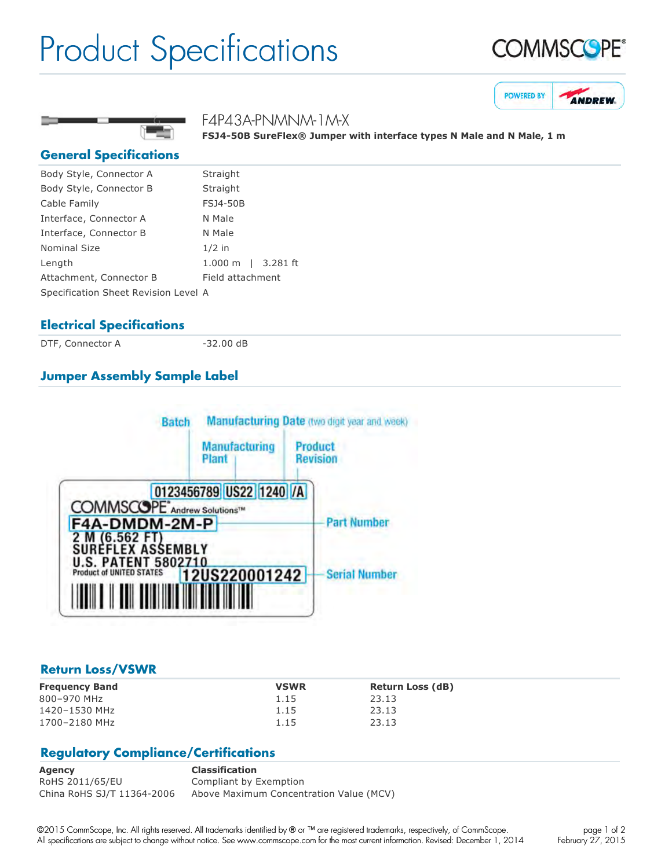## Product Specifications







**FSJ450B SureFlex® Jumper with interface types N Male and N Male, 1 m**

#### **General Specifications**

| Body Style, Connector A              | Straight                     |
|--------------------------------------|------------------------------|
| Body Style, Connector B              | Straight                     |
| Cable Family                         | <b>FSJ4-50B</b>              |
| Interface, Connector A               | N Male                       |
| Interface, Connector B               | N Male                       |
| <b>Nominal Size</b>                  | $1/2$ in                     |
| Length                               | $1.000 \text{ m}$   3.281 ft |
| Attachment, Connector B              | Field attachment             |
| Specification Sheet Revision Level A |                              |

#### **Electrical Specifications**

DTF, Connector A 32.00 dB

F4P43A-PNMNM-1M-X

### **Jumper Assembly Sample Label**



#### **Return Loss/VSWR**

| <b>Frequency Band</b> | <b>VSWR</b> | <b>Return Loss (dB)</b> |
|-----------------------|-------------|-------------------------|
| 800-970 MHz           | 1.15        | 23.13                   |
| 1420-1530 MHz         | 1.15        | 23.13                   |
| 1700-2180 MHz         | 1.15        | 23.13                   |

#### **Regulatory Compliance/Certifications**

**Agency Classification** RoHS 2011/65/EU Compliant by Exemption China RoHS SJ/T 11364-2006 Above Maximum Concentration Value (MCV)

©2015 CommScope, Inc. All rights reserved. All trademarks identified by ® or ™ are registered trademarks, respectively, of CommScope. All specifications are subject to change without notice. See www.commscope.com for the most current information. Revised: December 1, 2014